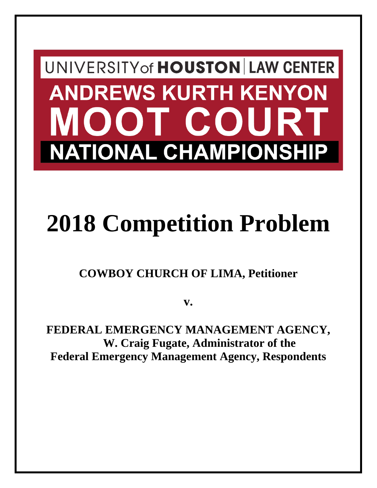## UNIVERSITY of HOUSTON LAW CENTER **ANDREWS KURTH KENYON** DOT COURT **NATIONAL CHAMPIONSHIP**

# **2018 Competition Problem**

## **COWBOY CHURCH OF LIMA, Petitioner**

**v.**

**FEDERAL EMERGENCY MANAGEMENT AGENCY, W. Craig Fugate, Administrator of the Federal Emergency Management Agency, Respondents**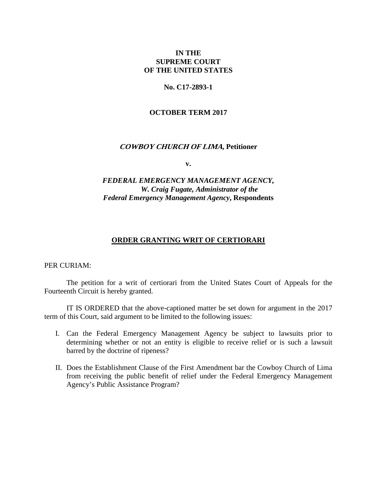## **IN THE SUPREME COURT OF THE UNITED STATES**

## **No. C17-2893-1**

## **OCTOBER TERM 2017**

## **COWBOY CHURCH OF LIMA, Petitioner**

**v.**

## *FEDERAL EMERGENCY MANAGEMENT AGENCY, W. Craig Fugate, Administrator of the Federal Emergency Management Agency***, Respondents**

## **ORDER GRANTING WRIT OF CERTIORARI**

PER CURIAM:

The petition for a writ of certiorari from the United States Court of Appeals for the Fourteenth Circuit is hereby granted.

IT IS ORDERED that the above-captioned matter be set down for argument in the 2017 term of this Court, said argument to be limited to the following issues:

- I. Can the Federal Emergency Management Agency be subject to lawsuits prior to determining whether or not an entity is eligible to receive relief or is such a lawsuit barred by the doctrine of ripeness?
- II. Does the Establishment Clause of the First Amendment bar the Cowboy Church of Lima from receiving the public benefit of relief under the Federal Emergency Management Agency's Public Assistance Program?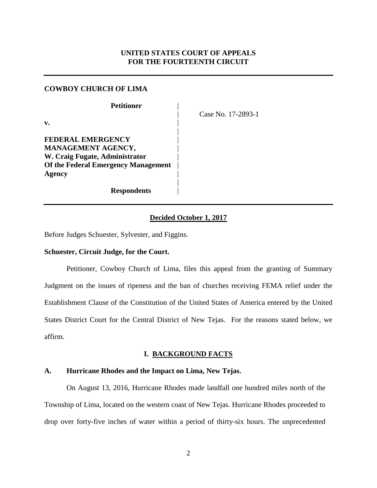## **UNITED STATES COURT OF APPEALS FOR THE FOURTEENTH CIRCUIT**

## **COWBOY CHURCH OF LIMA**

| <b>Petitioner</b>                          |
|--------------------------------------------|
| v.                                         |
| FEDERAL EMERGENCY                          |
| MANAGEMENT AGENCY,                         |
| W. Craig Fugate, Administrator             |
| <b>Of the Federal Emergency Management</b> |
| Agency                                     |
|                                            |
| <b>Respondents</b>                         |

| Case No. 17-2893-1

## **Decided October 1, 2017**

Before Judges Schuester, Sylvester, and Figgins.

## **Schuester, Circuit Judge, for the Court.**

Petitioner, Cowboy Church of Lima, files this appeal from the granting of Summary Judgment on the issues of ripeness and the ban of churches receiving FEMA relief under the Establishment Clause of the Constitution of the United States of America entered by the United States District Court for the Central District of New Tejas. For the reasons stated below, we affirm.

## **I. BACKGROUND FACTS**

## **A. Hurricane Rhodes and the Impact on Lima, New Tejas.**

On August 13, 2016, Hurricane Rhodes made landfall one hundred miles north of the Township of Lima, located on the western coast of New Tejas. Hurricane Rhodes proceeded to drop over forty-five inches of water within a period of thirty-six hours. The unprecedented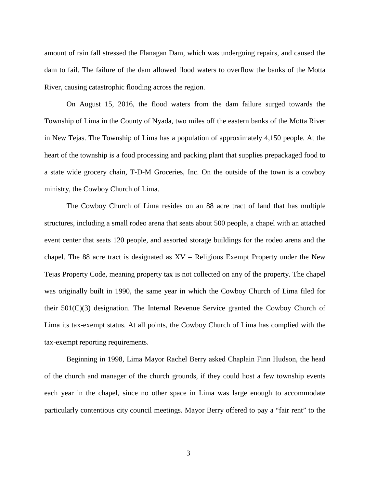amount of rain fall stressed the Flanagan Dam, which was undergoing repairs, and caused the dam to fail. The failure of the dam allowed flood waters to overflow the banks of the Motta River, causing catastrophic flooding across the region.

On August 15, 2016, the flood waters from the dam failure surged towards the Township of Lima in the County of Nyada, two miles off the eastern banks of the Motta River in New Tejas. The Township of Lima has a population of approximately 4,150 people. At the heart of the township is a food processing and packing plant that supplies prepackaged food to a state wide grocery chain, T-D-M Groceries, Inc. On the outside of the town is a cowboy ministry, the Cowboy Church of Lima.

The Cowboy Church of Lima resides on an 88 acre tract of land that has multiple structures, including a small rodeo arena that seats about 500 people, a chapel with an attached event center that seats 120 people, and assorted storage buildings for the rodeo arena and the chapel. The 88 acre tract is designated as XV – Religious Exempt Property under the New Tejas Property Code, meaning property tax is not collected on any of the property. The chapel was originally built in 1990, the same year in which the Cowboy Church of Lima filed for their 501(C)(3) designation. The Internal Revenue Service granted the Cowboy Church of Lima its tax-exempt status. At all points, the Cowboy Church of Lima has complied with the tax-exempt reporting requirements.

Beginning in 1998, Lima Mayor Rachel Berry asked Chaplain Finn Hudson, the head of the church and manager of the church grounds, if they could host a few township events each year in the chapel, since no other space in Lima was large enough to accommodate particularly contentious city council meetings. Mayor Berry offered to pay a "fair rent" to the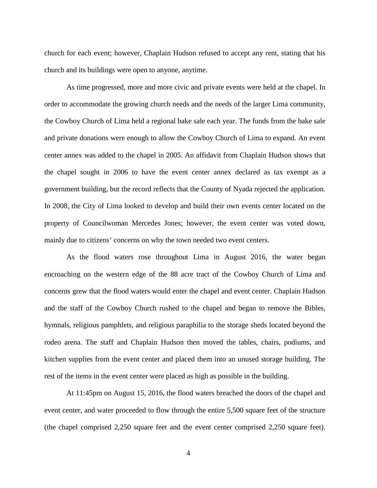church for each event; however, Chaplain Hudson refused to accept any rent, stating that his church and its buildings were open to anyone, anytime.

As time progressed, more and more civic and private events were held at the chapel. In order to accommodate the growing church needs and the needs of the larger Lima community, the Cowboy Church of Lima held a regional bake sale each year. The funds from the bake sale and private donations were enough to allow the Cowboy Church of Lima to expand. An event center annex was added to the chapel in 2005. An affidavit from Chaplain Hudson shows that the chapel sought in 2006 to have the event center annex declared as tax exempt as a government building, but the record reflects that the County of Nyada rejected the application. In 2008, the City of Lima looked to develop and build their own events center located on the property of Councilwoman Mercedes Jones; however, the event center was voted down, mainly due to citizens' concerns on why the town needed two event centers.

As the flood waters rose throughout Lima in August 2016, the water began encroaching on the western edge of the 88 acre tract of the Cowboy Church of Lima and concerns grew that the flood waters would enter the chapel and event center. Chaplain Hudson and the staff of the Cowboy Church rushed to the chapel and began to remove the Bibles, hymnals, religious pamphlets, and religious paraphilia to the storage sheds located beyond the rodeo arena. The staff and Chaplain Hudson then moved the tables, chairs, podiums, and kitchen supplies from the event center and placed them into an unused storage building. The rest of the items in the event center were placed as high as possible in the building.

At 11:45pm on August 15, 2016, the flood waters breached the doors of the chapel and event center, and water proceeded to flow through the entire 5,500 square feet of the structure (the chapel comprised 2,250 square feet and the event center comprised 2,250 square feet).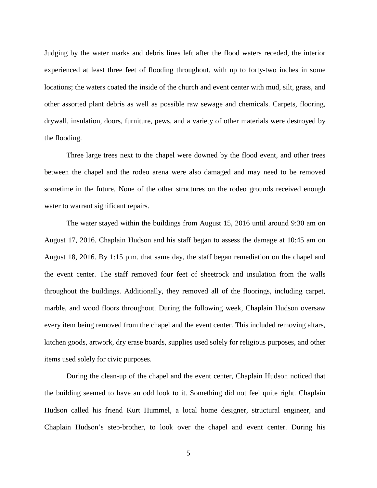Judging by the water marks and debris lines left after the flood waters receded, the interior experienced at least three feet of flooding throughout, with up to forty-two inches in some locations; the waters coated the inside of the church and event center with mud, silt, grass, and other assorted plant debris as well as possible raw sewage and chemicals. Carpets, flooring, drywall, insulation, doors, furniture, pews, and a variety of other materials were destroyed by the flooding.

Three large trees next to the chapel were downed by the flood event, and other trees between the chapel and the rodeo arena were also damaged and may need to be removed sometime in the future. None of the other structures on the rodeo grounds received enough water to warrant significant repairs.

The water stayed within the buildings from August 15, 2016 until around 9:30 am on August 17, 2016. Chaplain Hudson and his staff began to assess the damage at 10:45 am on August 18, 2016. By 1:15 p.m. that same day, the staff began remediation on the chapel and the event center. The staff removed four feet of sheetrock and insulation from the walls throughout the buildings. Additionally, they removed all of the floorings, including carpet, marble, and wood floors throughout. During the following week, Chaplain Hudson oversaw every item being removed from the chapel and the event center. This included removing altars, kitchen goods, artwork, dry erase boards, supplies used solely for religious purposes, and other items used solely for civic purposes.

During the clean-up of the chapel and the event center, Chaplain Hudson noticed that the building seemed to have an odd look to it. Something did not feel quite right. Chaplain Hudson called his friend Kurt Hummel, a local home designer, structural engineer, and Chaplain Hudson's step-brother, to look over the chapel and event center. During his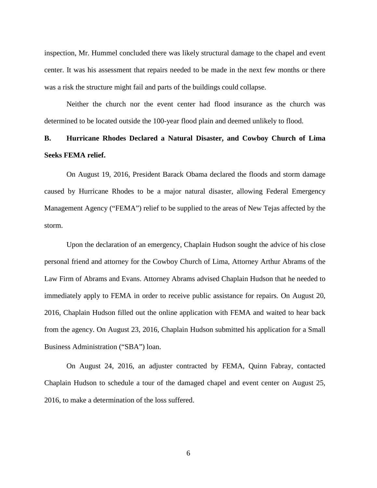inspection, Mr. Hummel concluded there was likely structural damage to the chapel and event center. It was his assessment that repairs needed to be made in the next few months or there was a risk the structure might fail and parts of the buildings could collapse.

Neither the church nor the event center had flood insurance as the church was determined to be located outside the 100-year flood plain and deemed unlikely to flood.

## **B. Hurricane Rhodes Declared a Natural Disaster, and Cowboy Church of Lima Seeks FEMA relief.**

On August 19, 2016, President Barack Obama declared the floods and storm damage caused by Hurricane Rhodes to be a major natural disaster, allowing Federal Emergency Management Agency ("FEMA") relief to be supplied to the areas of New Tejas affected by the storm.

Upon the declaration of an emergency, Chaplain Hudson sought the advice of his close personal friend and attorney for the Cowboy Church of Lima, Attorney Arthur Abrams of the Law Firm of Abrams and Evans. Attorney Abrams advised Chaplain Hudson that he needed to immediately apply to FEMA in order to receive public assistance for repairs. On August 20, 2016, Chaplain Hudson filled out the online application with FEMA and waited to hear back from the agency. On August 23, 2016, Chaplain Hudson submitted his application for a Small Business Administration ("SBA") loan.

On August 24, 2016, an adjuster contracted by FEMA, Quinn Fabray, contacted Chaplain Hudson to schedule a tour of the damaged chapel and event center on August 25, 2016, to make a determination of the loss suffered.

6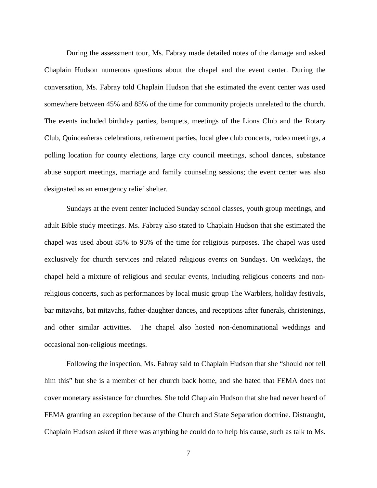During the assessment tour, Ms. Fabray made detailed notes of the damage and asked Chaplain Hudson numerous questions about the chapel and the event center. During the conversation, Ms. Fabray told Chaplain Hudson that she estimated the event center was used somewhere between 45% and 85% of the time for community projects unrelated to the church. The events included birthday parties, banquets, meetings of the Lions Club and the Rotary Club, Quinceañeras celebrations, retirement parties, local glee club concerts, rodeo meetings, a polling location for county elections, large city council meetings, school dances, substance abuse support meetings, marriage and family counseling sessions; the event center was also designated as an emergency relief shelter.

Sundays at the event center included Sunday school classes, youth group meetings, and adult Bible study meetings. Ms. Fabray also stated to Chaplain Hudson that she estimated the chapel was used about 85% to 95% of the time for religious purposes. The chapel was used exclusively for church services and related religious events on Sundays. On weekdays, the chapel held a mixture of religious and secular events, including religious concerts and nonreligious concerts, such as performances by local music group The Warblers, holiday festivals, bar mitzvahs, bat mitzvahs, father-daughter dances, and receptions after funerals, christenings, and other similar activities. The chapel also hosted non-denominational weddings and occasional non-religious meetings.

Following the inspection, Ms. Fabray said to Chaplain Hudson that she "should not tell him this" but she is a member of her church back home, and she hated that FEMA does not cover monetary assistance for churches. She told Chaplain Hudson that she had never heard of FEMA granting an exception because of the Church and State Separation doctrine. Distraught, Chaplain Hudson asked if there was anything he could do to help his cause, such as talk to Ms.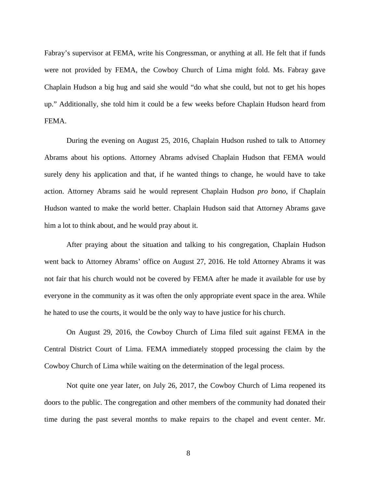Fabray's supervisor at FEMA, write his Congressman, or anything at all. He felt that if funds were not provided by FEMA, the Cowboy Church of Lima might fold. Ms. Fabray gave Chaplain Hudson a big hug and said she would "do what she could, but not to get his hopes up." Additionally, she told him it could be a few weeks before Chaplain Hudson heard from FEMA.

During the evening on August 25, 2016, Chaplain Hudson rushed to talk to Attorney Abrams about his options. Attorney Abrams advised Chaplain Hudson that FEMA would surely deny his application and that, if he wanted things to change, he would have to take action. Attorney Abrams said he would represent Chaplain Hudson *pro bono*, if Chaplain Hudson wanted to make the world better. Chaplain Hudson said that Attorney Abrams gave him a lot to think about, and he would pray about it.

After praying about the situation and talking to his congregation, Chaplain Hudson went back to Attorney Abrams' office on August 27, 2016. He told Attorney Abrams it was not fair that his church would not be covered by FEMA after he made it available for use by everyone in the community as it was often the only appropriate event space in the area. While he hated to use the courts, it would be the only way to have justice for his church.

On August 29, 2016, the Cowboy Church of Lima filed suit against FEMA in the Central District Court of Lima. FEMA immediately stopped processing the claim by the Cowboy Church of Lima while waiting on the determination of the legal process.

Not quite one year later, on July 26, 2017, the Cowboy Church of Lima reopened its doors to the public. The congregation and other members of the community had donated their time during the past several months to make repairs to the chapel and event center. Mr.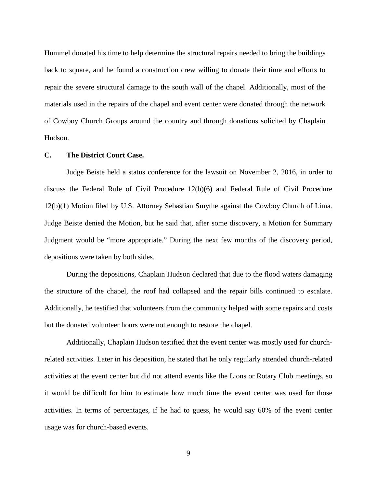Hummel donated his time to help determine the structural repairs needed to bring the buildings back to square, and he found a construction crew willing to donate their time and efforts to repair the severe structural damage to the south wall of the chapel. Additionally, most of the materials used in the repairs of the chapel and event center were donated through the network of Cowboy Church Groups around the country and through donations solicited by Chaplain Hudson.

## **C. The District Court Case.**

Judge Beiste held a status conference for the lawsuit on November 2, 2016, in order to discuss the Federal Rule of Civil Procedure 12(b)(6) and Federal Rule of Civil Procedure 12(b)(1) Motion filed by U.S. Attorney Sebastian Smythe against the Cowboy Church of Lima. Judge Beiste denied the Motion, but he said that, after some discovery, a Motion for Summary Judgment would be "more appropriate." During the next few months of the discovery period, depositions were taken by both sides.

During the depositions, Chaplain Hudson declared that due to the flood waters damaging the structure of the chapel, the roof had collapsed and the repair bills continued to escalate. Additionally, he testified that volunteers from the community helped with some repairs and costs but the donated volunteer hours were not enough to restore the chapel.

Additionally, Chaplain Hudson testified that the event center was mostly used for churchrelated activities. Later in his deposition, he stated that he only regularly attended church-related activities at the event center but did not attend events like the Lions or Rotary Club meetings, so it would be difficult for him to estimate how much time the event center was used for those activities. In terms of percentages, if he had to guess, he would say 60% of the event center usage was for church-based events.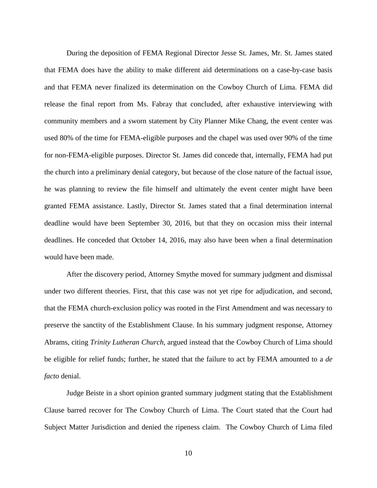During the deposition of FEMA Regional Director Jesse St. James, Mr. St. James stated that FEMA does have the ability to make different aid determinations on a case-by-case basis and that FEMA never finalized its determination on the Cowboy Church of Lima. FEMA did release the final report from Ms. Fabray that concluded, after exhaustive interviewing with community members and a sworn statement by City Planner Mike Chang, the event center was used 80% of the time for FEMA-eligible purposes and the chapel was used over 90% of the time for non-FEMA-eligible purposes. Director St. James did concede that, internally, FEMA had put the church into a preliminary denial category, but because of the close nature of the factual issue, he was planning to review the file himself and ultimately the event center might have been granted FEMA assistance. Lastly, Director St. James stated that a final determination internal deadline would have been September 30, 2016, but that they on occasion miss their internal deadlines. He conceded that October 14, 2016, may also have been when a final determination would have been made.

After the discovery period, Attorney Smythe moved for summary judgment and dismissal under two different theories. First, that this case was not yet ripe for adjudication, and second, that the FEMA church-exclusion policy was rooted in the First Amendment and was necessary to preserve the sanctity of the Establishment Clause. In his summary judgment response, Attorney Abrams, citing *Trinity Lutheran Church*, argued instead that the Cowboy Church of Lima should be eligible for relief funds; further, he stated that the failure to act by FEMA amounted to a *de facto* denial.

Judge Beiste in a short opinion granted summary judgment stating that the Establishment Clause barred recover for The Cowboy Church of Lima. The Court stated that the Court had Subject Matter Jurisdiction and denied the ripeness claim. The Cowboy Church of Lima filed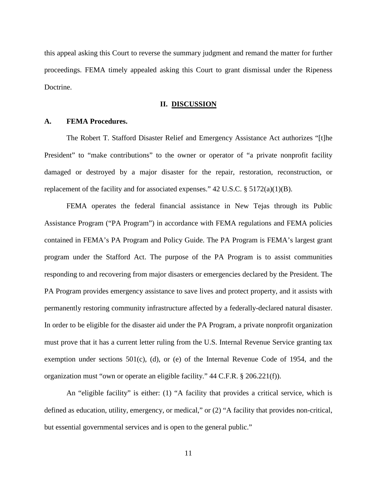this appeal asking this Court to reverse the summary judgment and remand the matter for further proceedings. FEMA timely appealed asking this Court to grant dismissal under the Ripeness Doctrine.

#### **II. DISCUSSION**

## **A. FEMA Procedures.**

The Robert T. Stafford Disaster Relief and Emergency Assistance Act authorizes "[t]he President" to "make contributions" to the owner or operator of "a private nonprofit facility damaged or destroyed by a major disaster for the repair, restoration, reconstruction, or replacement of the facility and for associated expenses."  $42 \text{ U.S.C.}$  §  $5172(a)(1)(B)$ .

FEMA operates the federal financial assistance in New Tejas through its Public Assistance Program ("PA Program") in accordance with FEMA regulations and FEMA policies contained in FEMA's PA Program and Policy Guide. The PA Program is FEMA's largest grant program under the Stafford Act. The purpose of the PA Program is to assist communities responding to and recovering from major disasters or emergencies declared by the President. The PA Program provides emergency assistance to save lives and protect property, and it assists with permanently restoring community infrastructure affected by a federally-declared natural disaster. In order to be eligible for the disaster aid under the PA Program, a private nonprofit organization must prove that it has a current letter ruling from the U.S. Internal Revenue Service granting tax exemption under sections 501(c), (d), or (e) of the Internal Revenue Code of 1954, and the organization must "own or operate an eligible facility." 44 C.F.R. § 206.221(f)).

An "eligible facility" is either: (1) "A facility that provides a critical service, which is defined as education, utility, emergency, or medical," or (2) "A facility that provides non-critical, but essential governmental services and is open to the general public."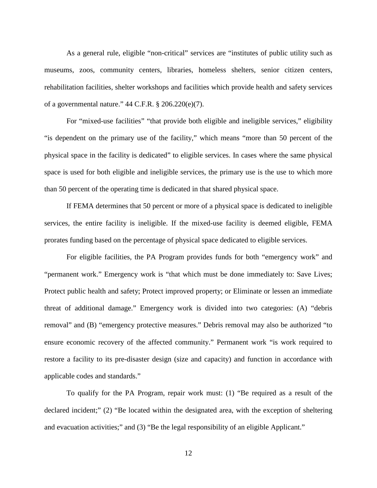As a general rule, eligible "non-critical" services are "institutes of public utility such as museums, zoos, community centers, libraries, homeless shelters, senior citizen centers, rehabilitation facilities, shelter workshops and facilities which provide health and safety services of a governmental nature." 44 C.F.R. § 206.220(e)(7).

For "mixed-use facilities" "that provide both eligible and ineligible services," eligibility "is dependent on the primary use of the facility," which means "more than 50 percent of the physical space in the facility is dedicated" to eligible services. In cases where the same physical space is used for both eligible and ineligible services, the primary use is the use to which more than 50 percent of the operating time is dedicated in that shared physical space.

If FEMA determines that 50 percent or more of a physical space is dedicated to ineligible services, the entire facility is ineligible. If the mixed-use facility is deemed eligible, FEMA prorates funding based on the percentage of physical space dedicated to eligible services.

For eligible facilities, the PA Program provides funds for both "emergency work" and "permanent work." Emergency work is "that which must be done immediately to: Save Lives; Protect public health and safety; Protect improved property; or Eliminate or lessen an immediate threat of additional damage." Emergency work is divided into two categories: (A) "debris removal" and (B) "emergency protective measures." Debris removal may also be authorized "to ensure economic recovery of the affected community." Permanent work "is work required to restore a facility to its pre-disaster design (size and capacity) and function in accordance with applicable codes and standards."

To qualify for the PA Program, repair work must: (1) "Be required as a result of the declared incident;" (2) "Be located within the designated area, with the exception of sheltering and evacuation activities;" and (3) "Be the legal responsibility of an eligible Applicant."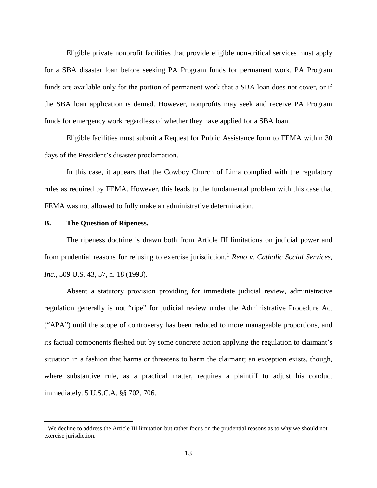Eligible private nonprofit facilities that provide eligible non-critical services must apply for a SBA disaster loan before seeking PA Program funds for permanent work. PA Program funds are available only for the portion of permanent work that a SBA loan does not cover, or if the SBA loan application is denied. However, nonprofits may seek and receive PA Program funds for emergency work regardless of whether they have applied for a SBA loan.

Eligible facilities must submit a Request for Public Assistance form to FEMA within 30 days of the President's disaster proclamation.

In this case, it appears that the Cowboy Church of Lima complied with the regulatory rules as required by FEMA. However, this leads to the fundamental problem with this case that FEMA was not allowed to fully make an administrative determination.

## **B. The Question of Ripeness.**

 $\overline{a}$ 

The ripeness doctrine is drawn both from Article III limitations on judicial power and from prudential reasons for refusing to exercise jurisdiction. [1](#page-13-0) *Reno v. Catholic Social Services, Inc.*, 509 U.S. 43, 57, n. 18 (1993).

Absent a statutory provision providing for immediate judicial review, administrative regulation generally is not "ripe" for judicial review under the Administrative Procedure Act ("APA") until the scope of controversy has been reduced to more manageable proportions, and its factual components fleshed out by some concrete action applying the regulation to claimant's situation in a fashion that harms or threatens to harm the claimant; an exception exists, though, where substantive rule, as a practical matter, requires a plaintiff to adjust his conduct immediately. 5 U.S.C.A. §§ 702, 706.

<span id="page-13-0"></span><sup>&</sup>lt;sup>1</sup> We decline to address the Article III limitation but rather focus on the prudential reasons as to why we should not exercise jurisdiction.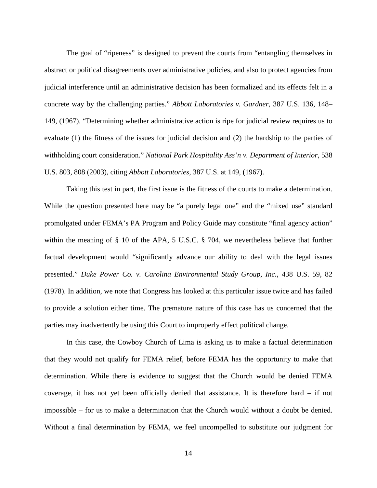The goal of "ripeness" is designed to prevent the courts from "entangling themselves in abstract or political disagreements over administrative policies, and also to protect agencies from judicial interference until an administrative decision has been formalized and its effects felt in a concrete way by the challenging parties." *Abbott Laboratories v. Gardner*, 387 U.S. 136, 148– 149, (1967). "Determining whether administrative action is ripe for judicial review requires us to evaluate (1) the fitness of the issues for judicial decision and (2) the hardship to the parties of withholding court consideration." *National Park Hospitality Ass'n v. Department of Interior*, 538 U.S. 803, 808 (2003), citing *Abbott Laboratories*, 387 U.S. at 149, (1967).

Taking this test in part, the first issue is the fitness of the courts to make a determination. While the question presented here may be "a purely legal one" and the "mixed use" standard promulgated under FEMA's PA Program and Policy Guide may constitute "final agency action" within the meaning of § 10 of the APA, 5 U.S.C. § 704, we nevertheless believe that further factual development would "significantly advance our ability to deal with the legal issues presented." *Duke Power Co. v. Carolina Environmental Study Group, Inc.*, 438 U.S. 59, 82 (1978). In addition, we note that Congress has looked at this particular issue twice and has failed to provide a solution either time. The premature nature of this case has us concerned that the parties may inadvertently be using this Court to improperly effect political change.

In this case, the Cowboy Church of Lima is asking us to make a factual determination that they would not qualify for FEMA relief, before FEMA has the opportunity to make that determination. While there is evidence to suggest that the Church would be denied FEMA coverage, it has not yet been officially denied that assistance. It is therefore hard – if not impossible – for us to make a determination that the Church would without a doubt be denied. Without a final determination by FEMA, we feel uncompelled to substitute our judgment for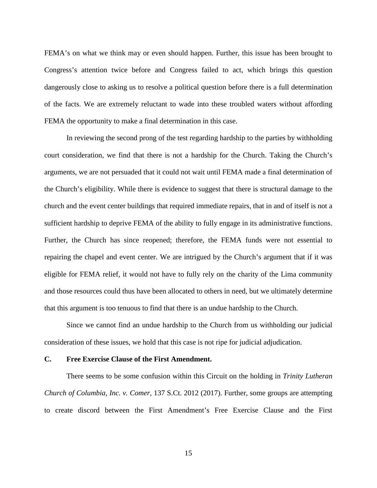FEMA's on what we think may or even should happen. Further, this issue has been brought to Congress's attention twice before and Congress failed to act, which brings this question dangerously close to asking us to resolve a political question before there is a full determination of the facts. We are extremely reluctant to wade into these troubled waters without affording FEMA the opportunity to make a final determination in this case.

In reviewing the second prong of the test regarding hardship to the parties by withholding court consideration, we find that there is not a hardship for the Church. Taking the Church's arguments, we are not persuaded that it could not wait until FEMA made a final determination of the Church's eligibility. While there is evidence to suggest that there is structural damage to the church and the event center buildings that required immediate repairs, that in and of itself is not a sufficient hardship to deprive FEMA of the ability to fully engage in its administrative functions. Further, the Church has since reopened; therefore, the FEMA funds were not essential to repairing the chapel and event center. We are intrigued by the Church's argument that if it was eligible for FEMA relief, it would not have to fully rely on the charity of the Lima community and those resources could thus have been allocated to others in need, but we ultimately determine that this argument is too tenuous to find that there is an undue hardship to the Church.

Since we cannot find an undue hardship to the Church from us withholding our judicial consideration of these issues, we hold that this case is not ripe for judicial adjudication.

## **C. Free Exercise Clause of the First Amendment.**

There seems to be some confusion within this Circuit on the holding in *Trinity Lutheran Church of Columbia, Inc. v. Comer*, 137 S.Ct. 2012 (2017). Further, some groups are attempting to create discord between the First Amendment's Free Exercise Clause and the First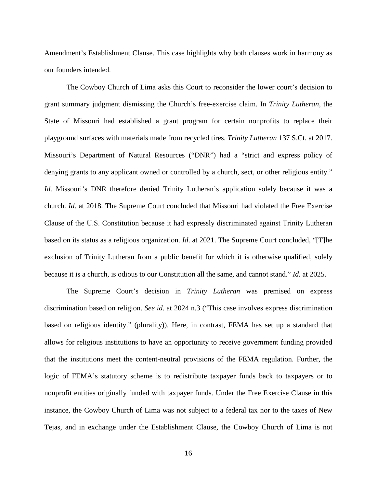Amendment's Establishment Clause. This case highlights why both clauses work in harmony as our founders intended.

The Cowboy Church of Lima asks this Court to reconsider the lower court's decision to grant summary judgment dismissing the Church's free-exercise claim. In *Trinity Lutheran*, the State of Missouri had established a grant program for certain nonprofits to replace their playground surfaces with materials made from recycled tires. *Trinity Lutheran* 137 S.Ct. at 2017. Missouri's Department of Natural Resources ("DNR") had a "strict and express policy of denying grants to any applicant owned or controlled by a church, sect, or other religious entity." *Id.* Missouri's DNR therefore denied Trinity Lutheran's application solely because it was a church. *Id*. at 2018. The Supreme Court concluded that Missouri had violated the Free Exercise Clause of the U.S. Constitution because it had expressly discriminated against Trinity Lutheran based on its status as a religious organization. *Id*. at 2021. The Supreme Court concluded, "[T]he exclusion of Trinity Lutheran from a public benefit for which it is otherwise qualified, solely because it is a church, is odious to our Constitution all the same, and cannot stand." *Id.* at 2025.

The Supreme Court's decision in *Trinity Lutheran* was premised on express discrimination based on religion. *See id*. at 2024 n.3 ("This case involves express discrimination based on religious identity." (plurality)). Here, in contrast, FEMA has set up a standard that allows for religious institutions to have an opportunity to receive government funding provided that the institutions meet the content-neutral provisions of the FEMA regulation. Further, the logic of FEMA's statutory scheme is to redistribute taxpayer funds back to taxpayers or to nonprofit entities originally funded with taxpayer funds. Under the Free Exercise Clause in this instance, the Cowboy Church of Lima was not subject to a federal tax nor to the taxes of New Tejas, and in exchange under the Establishment Clause, the Cowboy Church of Lima is not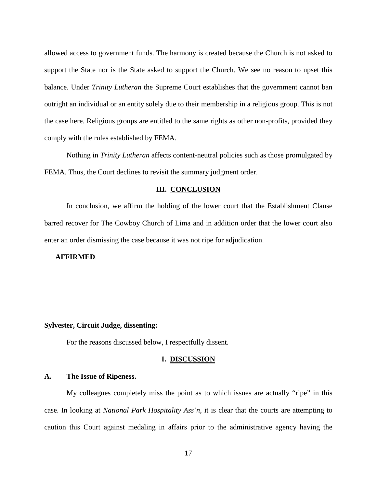allowed access to government funds. The harmony is created because the Church is not asked to support the State nor is the State asked to support the Church. We see no reason to upset this balance. Under *Trinity Lutheran* the Supreme Court establishes that the government cannot ban outright an individual or an entity solely due to their membership in a religious group. This is not the case here. Religious groups are entitled to the same rights as other non-profits, provided they comply with the rules established by FEMA.

Nothing in *Trinity Lutheran* affects content-neutral policies such as those promulgated by FEMA. Thus, the Court declines to revisit the summary judgment order.

## **III. CONCLUSION**

In conclusion, we affirm the holding of the lower court that the Establishment Clause barred recover for The Cowboy Church of Lima and in addition order that the lower court also enter an order dismissing the case because it was not ripe for adjudication.

## **AFFIRMED**.

## **Sylvester, Circuit Judge, dissenting:**

For the reasons discussed below, I respectfully dissent.

## **I. DISCUSSION**

## **A. The Issue of Ripeness.**

My colleagues completely miss the point as to which issues are actually "ripe" in this case. In looking at *National Park Hospitality Ass'n*, it is clear that the courts are attempting to caution this Court against medaling in affairs prior to the administrative agency having the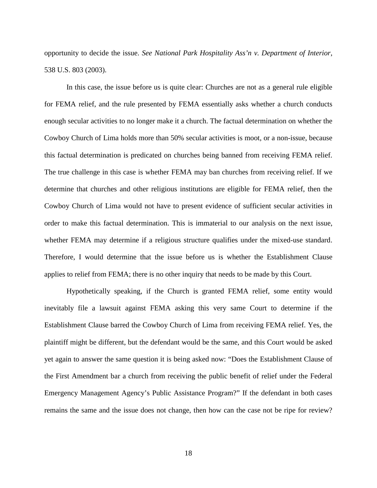opportunity to decide the issue. *See National Park Hospitality Ass'n v. Department of Interior*, 538 U.S. 803 (2003).

In this case, the issue before us is quite clear: Churches are not as a general rule eligible for FEMA relief, and the rule presented by FEMA essentially asks whether a church conducts enough secular activities to no longer make it a church. The factual determination on whether the Cowboy Church of Lima holds more than 50% secular activities is moot, or a non-issue, because this factual determination is predicated on churches being banned from receiving FEMA relief. The true challenge in this case is whether FEMA may ban churches from receiving relief. If we determine that churches and other religious institutions are eligible for FEMA relief, then the Cowboy Church of Lima would not have to present evidence of sufficient secular activities in order to make this factual determination. This is immaterial to our analysis on the next issue, whether FEMA may determine if a religious structure qualifies under the mixed-use standard. Therefore, I would determine that the issue before us is whether the Establishment Clause applies to relief from FEMA; there is no other inquiry that needs to be made by this Court.

Hypothetically speaking, if the Church is granted FEMA relief, some entity would inevitably file a lawsuit against FEMA asking this very same Court to determine if the Establishment Clause barred the Cowboy Church of Lima from receiving FEMA relief. Yes, the plaintiff might be different, but the defendant would be the same, and this Court would be asked yet again to answer the same question it is being asked now: "Does the Establishment Clause of the First Amendment bar a church from receiving the public benefit of relief under the Federal Emergency Management Agency's Public Assistance Program?" If the defendant in both cases remains the same and the issue does not change, then how can the case not be ripe for review?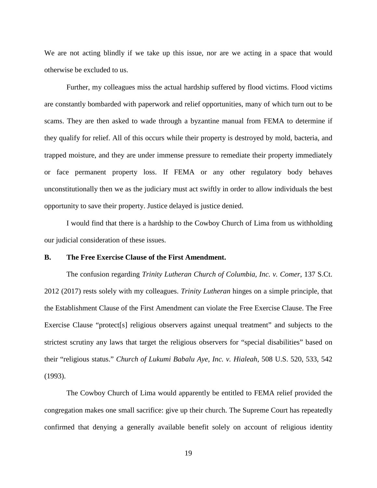We are not acting blindly if we take up this issue, nor are we acting in a space that would otherwise be excluded to us.

Further, my colleagues miss the actual hardship suffered by flood victims. Flood victims are constantly bombarded with paperwork and relief opportunities, many of which turn out to be scams. They are then asked to wade through a byzantine manual from FEMA to determine if they qualify for relief. All of this occurs while their property is destroyed by mold, bacteria, and trapped moisture, and they are under immense pressure to remediate their property immediately or face permanent property loss. If FEMA or any other regulatory body behaves unconstitutionally then we as the judiciary must act swiftly in order to allow individuals the best opportunity to save their property. Justice delayed is justice denied.

I would find that there is a hardship to the Cowboy Church of Lima from us withholding our judicial consideration of these issues.

## **B. The Free Exercise Clause of the First Amendment.**

The confusion regarding *Trinity Lutheran Church of Columbia, Inc. v. Comer*, 137 S.Ct. 2012 (2017) rests solely with my colleagues. *Trinity Lutheran* hinges on a simple principle, that the Establishment Clause of the First Amendment can violate the Free Exercise Clause. The Free Exercise Clause "protect[s] religious observers against unequal treatment" and subjects to the strictest scrutiny any laws that target the religious observers for "special disabilities" based on their "religious status." *Church of Lukumi Babalu Aye, Inc. v. Hialeah*, 508 U.S. 520, 533, 542 (1993).

The Cowboy Church of Lima would apparently be entitled to FEMA relief provided the congregation makes one small sacrifice: give up their church. The Supreme Court has repeatedly confirmed that denying a generally available benefit solely on account of religious identity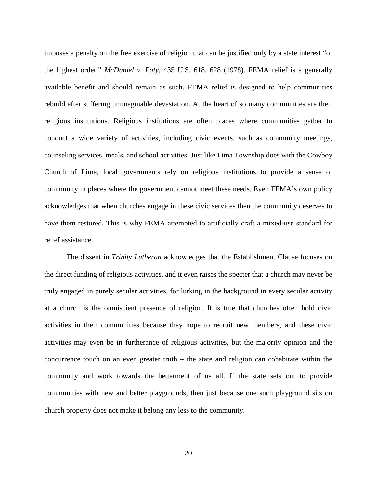imposes a penalty on the free exercise of religion that can be justified only by a state interest "of the highest order." *McDaniel v. Paty*, 435 U.S. 618, 628 (1978). FEMA relief is a generally available benefit and should remain as such. FEMA relief is designed to help communities rebuild after suffering unimaginable devastation. At the heart of so many communities are their religious institutions. Religious institutions are often places where communities gather to conduct a wide variety of activities, including civic events, such as community meetings, counseling services, meals, and school activities. Just like Lima Township does with the Cowboy Church of Lima, local governments rely on religious institutions to provide a sense of community in places where the government cannot meet these needs. Even FEMA's own policy acknowledges that when churches engage in these civic services then the community deserves to have them restored. This is why FEMA attempted to artificially craft a mixed-use standard for relief assistance.

The dissent in *Trinity Lutheran* acknowledges that the Establishment Clause focuses on the direct funding of religious activities, and it even raises the specter that a church may never be truly engaged in purely secular activities, for lurking in the background in every secular activity at a church is the omniscient presence of religion. It is true that churches often hold civic activities in their communities because they hope to recruit new members, and these civic activities may even be in furtherance of religious activities, but the majority opinion and the concurrence touch on an even greater truth – the state and religion can cohabitate within the community and work towards the betterment of us all. If the state sets out to provide communities with new and better playgrounds, then just because one such playground sits on church property does not make it belong any less to the community.